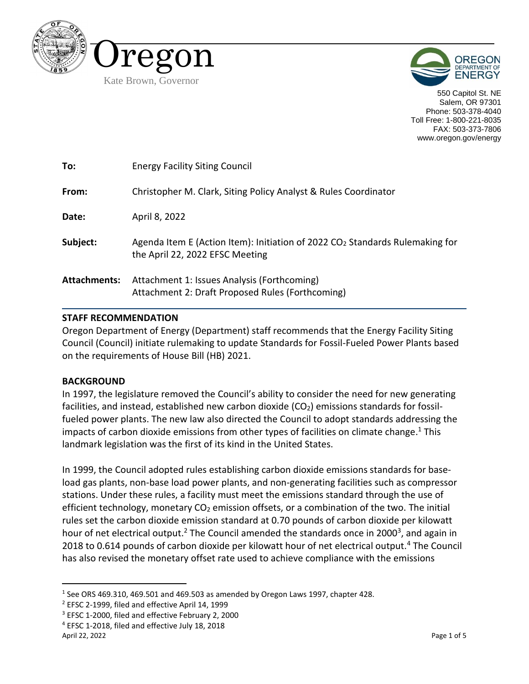



550 Capitol St. NE Salem, OR 97301 Phone: 503-378-4040 Toll Free: 1-800-221-8035 FAX: 503-373-7806 www.oregon.gov/energy

| To:                 | <b>Energy Facility Siting Council</b>                                                                             |
|---------------------|-------------------------------------------------------------------------------------------------------------------|
| From:               | Christopher M. Clark, Siting Policy Analyst & Rules Coordinator                                                   |
| Date:               | April 8, 2022                                                                                                     |
| Subject:            | Agenda Item E (Action Item): Initiation of 2022 $CO2$ Standards Rulemaking for<br>the April 22, 2022 EFSC Meeting |
| <b>Attachments:</b> | Attachment 1: Issues Analysis (Forthcoming)<br>Attachment 2: Draft Proposed Rules (Forthcoming)                   |

### **STAFF RECOMMENDATION**

Oregon Department of Energy (Department) staff recommends that the Energy Facility Siting Council (Council) initiate rulemaking to update Standards for Fossil-Fueled Power Plants based on the requirements of House Bill (HB) 2021.

### **BACKGROUND**

In 1997, the legislature removed the Council's ability to consider the need for new generating facilities, and instead, established new carbon dioxide ( $CO<sub>2</sub>$ ) emissions standards for fossilfueled power plants. The new law also directed the Council to adopt standards addressing the impacts of carbon dioxide emissions from other types of facilities on climate change.<sup>1</sup> This landmark legislation was the first of its kind in the United States.

In 1999, the Council adopted rules establishing carbon dioxide emissions standards for baseload gas plants, non-base load power plants, and non-generating facilities such as compressor stations. Under these rules, a facility must meet the emissions standard through the use of efficient technology, monetary  $CO<sub>2</sub>$  emission offsets, or a combination of the two. The initial rules set the carbon dioxide emission standard at 0.70 pounds of carbon dioxide per kilowatt hour of net electrical output.<sup>2</sup> The Council amended the standards once in 2000<sup>3</sup>, and again in 2018 to 0.614 pounds of carbon dioxide per kilowatt hour of net electrical output.<sup>4</sup> The Council has also revised the monetary offset rate used to achieve compliance with the emissions

<sup>&</sup>lt;sup>1</sup> See ORS 469.310, 469.501 and 469.503 as amended by Oregon Laws 1997, chapter 428.

<sup>2</sup> EFSC 2-1999, filed and effective April 14, 1999

<sup>&</sup>lt;sup>3</sup> EFSC 1-2000, filed and effective February 2, 2000

<sup>4</sup> EFSC 1-2018, filed and effective July 18, 2018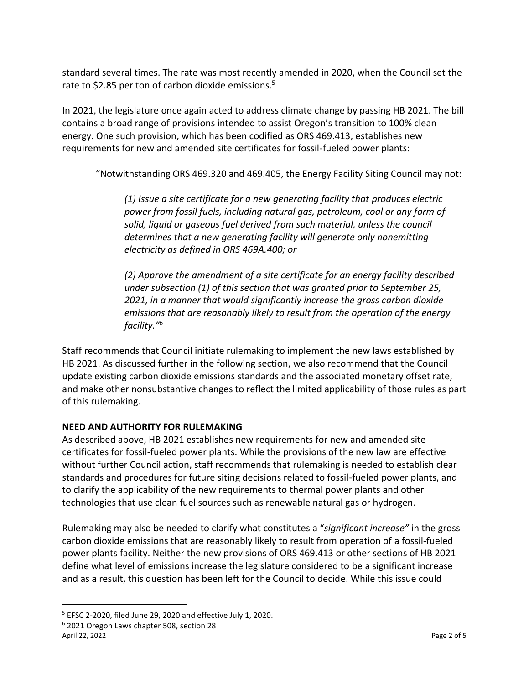standard several times. The rate was most recently amended in 2020, when the Council set the rate to \$2.85 per ton of carbon dioxide emissions.<sup>5</sup>

In 2021, the legislature once again acted to address climate change by passing HB 2021. The bill contains a broad range of provisions intended to assist Oregon's transition to 100% clean energy. One such provision, which has been codified as ORS 469.413, establishes new requirements for new and amended site certificates for fossil-fueled power plants:

"Notwithstanding ORS 469.320 and 469.405, the Energy Facility Siting Council may not:

*(1) Issue a site certificate for a new generating facility that produces electric power from fossil fuels, including natural gas, petroleum, coal or any form of solid, liquid or gaseous fuel derived from such material, unless the council determines that a new generating facility will generate only nonemitting electricity as defined in ORS 469A.400; or*

*(2) Approve the amendment of a site certificate for an energy facility described under subsection (1) of this section that was granted prior to September 25, 2021, in a manner that would significantly increase the gross carbon dioxide emissions that are reasonably likely to result from the operation of the energy facility."<sup>6</sup>*

Staff recommends that Council initiate rulemaking to implement the new laws established by HB 2021. As discussed further in the following section, we also recommend that the Council update existing carbon dioxide emissions standards and the associated monetary offset rate, and make other nonsubstantive changes to reflect the limited applicability of those rules as part of this rulemaking.

# **NEED AND AUTHORITY FOR RULEMAKING**

As described above, HB 2021 establishes new requirements for new and amended site certificates for fossil-fueled power plants. While the provisions of the new law are effective without further Council action, staff recommends that rulemaking is needed to establish clear standards and procedures for future siting decisions related to fossil-fueled power plants, and to clarify the applicability of the new requirements to thermal power plants and other technologies that use clean fuel sources such as renewable natural gas or hydrogen.

Rulemaking may also be needed to clarify what constitutes a "*significant increase"* in the gross carbon dioxide emissions that are reasonably likely to result from operation of a fossil-fueled power plants facility. Neither the new provisions of ORS 469.413 or other sections of HB 2021 define what level of emissions increase the legislature considered to be a significant increase and as a result, this question has been left for the Council to decide. While this issue could

<sup>5</sup> EFSC 2-2020, filed June 29, 2020 and effective July 1, 2020.

April 22, 2022 **Page 2 of 5** <sup>6</sup> 2021 Oregon Laws chapter 508, section 28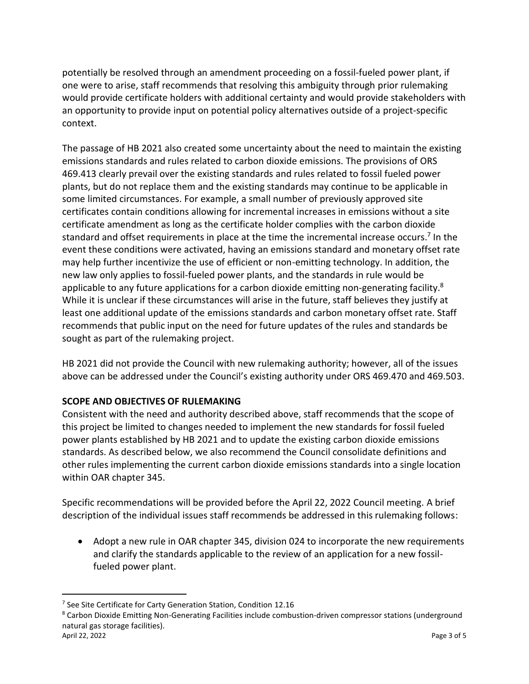potentially be resolved through an amendment proceeding on a fossil-fueled power plant, if one were to arise, staff recommends that resolving this ambiguity through prior rulemaking would provide certificate holders with additional certainty and would provide stakeholders with an opportunity to provide input on potential policy alternatives outside of a project-specific context.

The passage of HB 2021 also created some uncertainty about the need to maintain the existing emissions standards and rules related to carbon dioxide emissions. The provisions of ORS 469.413 clearly prevail over the existing standards and rules related to fossil fueled power plants, but do not replace them and the existing standards may continue to be applicable in some limited circumstances. For example, a small number of previously approved site certificates contain conditions allowing for incremental increases in emissions without a site certificate amendment as long as the certificate holder complies with the carbon dioxide standard and offset requirements in place at the time the incremental increase occurs.<sup>7</sup> In the event these conditions were activated, having an emissions standard and monetary offset rate may help further incentivize the use of efficient or non-emitting technology. In addition, the new law only applies to fossil-fueled power plants, and the standards in rule would be applicable to any future applications for a carbon dioxide emitting non-generating facility.<sup>8</sup> While it is unclear if these circumstances will arise in the future, staff believes they justify at least one additional update of the emissions standards and carbon monetary offset rate. Staff recommends that public input on the need for future updates of the rules and standards be sought as part of the rulemaking project.

HB 2021 did not provide the Council with new rulemaking authority; however, all of the issues above can be addressed under the Council's existing authority under ORS 469.470 and 469.503.

# **SCOPE AND OBJECTIVES OF RULEMAKING**

Consistent with the need and authority described above, staff recommends that the scope of this project be limited to changes needed to implement the new standards for fossil fueled power plants established by HB 2021 and to update the existing carbon dioxide emissions standards. As described below, we also recommend the Council consolidate definitions and other rules implementing the current carbon dioxide emissions standards into a single location within OAR chapter 345.

Specific recommendations will be provided before the April 22, 2022 Council meeting. A brief description of the individual issues staff recommends be addressed in this rulemaking follows:

• Adopt a new rule in OAR chapter 345, division 024 to incorporate the new requirements and clarify the standards applicable to the review of an application for a new fossilfueled power plant.

<sup>&</sup>lt;sup>7</sup> See Site Certificate for Carty Generation Station, Condition 12.16

<sup>&</sup>lt;sup>8</sup> Carbon Dioxide Emitting Non-Generating Facilities include combustion-driven compressor stations (underground natural gas storage facilities).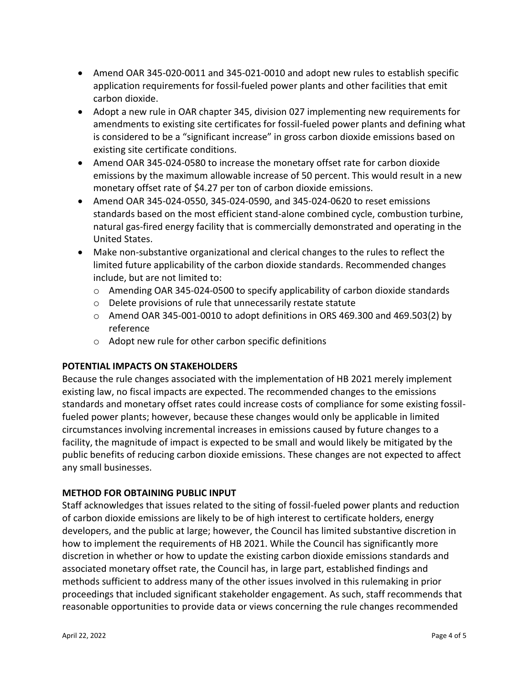- Amend OAR 345-020-0011 and 345-021-0010 and adopt new rules to establish specific application requirements for fossil-fueled power plants and other facilities that emit carbon dioxide.
- Adopt a new rule in OAR chapter 345, division 027 implementing new requirements for amendments to existing site certificates for fossil-fueled power plants and defining what is considered to be a "significant increase" in gross carbon dioxide emissions based on existing site certificate conditions.
- Amend OAR 345-024-0580 to increase the monetary offset rate for carbon dioxide emissions by the maximum allowable increase of 50 percent. This would result in a new monetary offset rate of \$4.27 per ton of carbon dioxide emissions.
- Amend OAR 345-024-0550, 345-024-0590, and 345-024-0620 to reset emissions standards based on the most efficient stand-alone combined cycle, combustion turbine, natural gas-fired energy facility that is commercially demonstrated and operating in the United States.
- Make non-substantive organizational and clerical changes to the rules to reflect the limited future applicability of the carbon dioxide standards. Recommended changes include, but are not limited to:
	- $\circ$  Amending OAR 345-024-0500 to specify applicability of carbon dioxide standards
	- o Delete provisions of rule that unnecessarily restate statute
	- $\circ$  Amend OAR 345-001-0010 to adopt definitions in ORS 469.300 and 469.503(2) by reference
	- o Adopt new rule for other carbon specific definitions

### **POTENTIAL IMPACTS ON STAKEHOLDERS**

Because the rule changes associated with the implementation of HB 2021 merely implement existing law, no fiscal impacts are expected. The recommended changes to the emissions standards and monetary offset rates could increase costs of compliance for some existing fossilfueled power plants; however, because these changes would only be applicable in limited circumstances involving incremental increases in emissions caused by future changes to a facility, the magnitude of impact is expected to be small and would likely be mitigated by the public benefits of reducing carbon dioxide emissions. These changes are not expected to affect any small businesses.

### **METHOD FOR OBTAINING PUBLIC INPUT**

Staff acknowledges that issues related to the siting of fossil-fueled power plants and reduction of carbon dioxide emissions are likely to be of high interest to certificate holders, energy developers, and the public at large; however, the Council has limited substantive discretion in how to implement the requirements of HB 2021. While the Council has significantly more discretion in whether or how to update the existing carbon dioxide emissions standards and associated monetary offset rate, the Council has, in large part, established findings and methods sufficient to address many of the other issues involved in this rulemaking in prior proceedings that included significant stakeholder engagement. As such, staff recommends that reasonable opportunities to provide data or views concerning the rule changes recommended